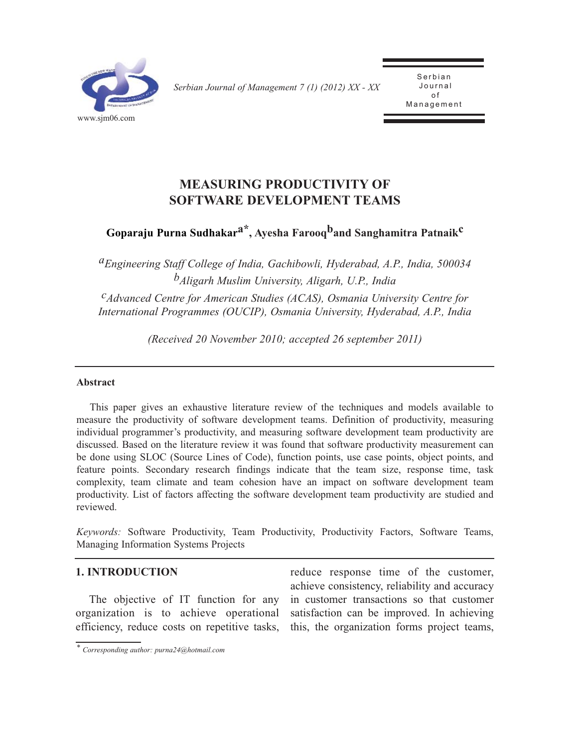

*Serbian Journal of Management 7 (1) (2012) XX - XX* 

Serbian<br>Journal o f .<br>مد Management

# **MEASURING PRODUCTIVITY OF SOFTWARE DEVELOPMENT TEAMS**

# **Goparaju Purna Sudhakara\*, Ayesha Farooqband Sanghamitra Patnaikc**

*aEngineering Staff College of India, Gachibowli, Hyderabad, A.P., India, 500034 bAligarh Muslim University, Aligarh, U.P., India*

*cAdvanced Centre for American Studies (ACAS), Osmania University Centre for International Programmes (OUCIP), Osmania University, Hyderabad, A.P., India*

*(Received 20 November 2010; accepted 26 september 2011)*

#### **Abstract**

This paper gives an exhaustive literature review of the techniques and models available to measure the productivity of software development teams. Definition of productivity, measuring individual programmer's productivity, and measuring software development team productivity are discussed. Based on the literature review it was found that software productivity measurement can be done using SLOC (Source Lines of Code), function points, use case points, object points, and feature points. Secondary research findings indicate that the team size, response time, task complexity, team climate and team cohesion have an impact on software development team productivity. List of factors affecting the software development team productivity are studied and reviewed.

*Keywords:* Software Productivity, Team Productivity, Productivity Factors, Software Teams, Managing Information Systems Projects

## **1. INTRODUCTION**

The objective of IT function for any organization is to achieve operational efficiency, reduce costs on repetitive tasks,

reduce response time of the customer, achieve consistency, reliability and accuracy in customer transactions so that customer satisfaction can be improved. In achieving this, the organization forms project teams,

*<sup>\*</sup> Corresponding author: purna24@hotmail.com*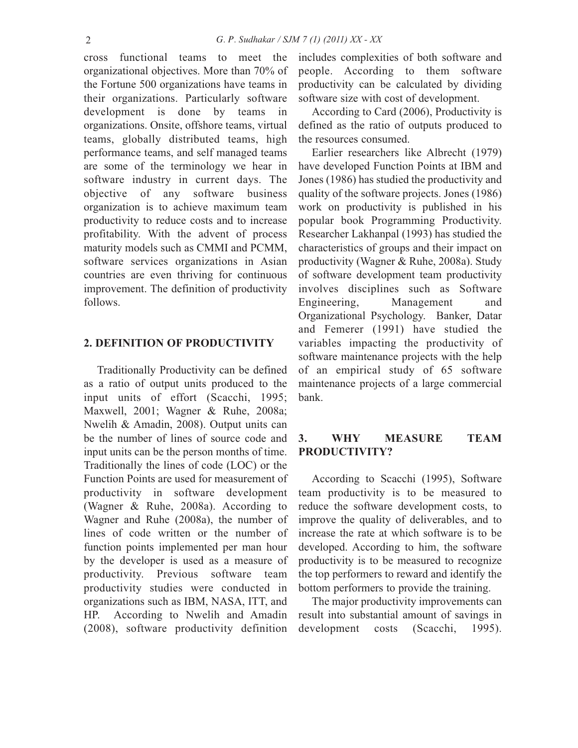cross functional teams to meet the organizational objectives. More than 70% of the Fortune 500 organizations have teams in their organizations. Particularly software development is done by teams in organizations. Onsite, offshore teams, virtual teams, globally distributed teams, high performance teams, and self managed teams are some of the terminology we hear in software industry in current days. The objective of any software business organization is to achieve maximum team productivity to reduce costs and to increase profitability. With the advent of process maturity models such as CMMI and PCMM, software services organizations in Asian countries are even thriving for continuous improvement. The definition of productivity follows.

# **2. DEFINITION OF PRODUCTIVITY**

Traditionally Productivity can be defined as a ratio of output units produced to the input units of effort (Scacchi, 1995; Maxwell, 2001; Wagner & Ruhe, 2008a; Nwelih & Amadin, 2008). Output units can be the number of lines of source code and input units can be the person months of time. Traditionally the lines of code (LOC) or the Function Points are used for measurement of productivity in software development (Wagner & Ruhe, 2008a). According to Wagner and Ruhe (2008a), the number of lines of code written or the number of function points implemented per man hour by the developer is used as a measure of productivity. Previous software team productivity studies were conducted in organizations such as IBM, NASA, ITT, and HP. According to Nwelih and Amadin (2008), software productivity definition includes complexities of both software and people. According to them software productivity can be calculated by dividing software size with cost of development.

According to Card (2006), Productivity is defined as the ratio of outputs produced to the resources consumed.

Earlier researchers like Albrecht (1979) have developed Function Points at IBM and Jones (1986) has studied the productivity and quality of the software projects. Jones (1986) work on productivity is published in his popular book Programming Productivity. Researcher Lakhanpal (1993) has studied the characteristics of groups and their impact on productivity (Wagner & Ruhe, 2008a). Study of software development team productivity involves disciplines such as Software Engineering, Management and Organizational Psychology. Banker, Datar and Femerer (1991) have studied the variables impacting the productivity of software maintenance projects with the help of an empirical study of 65 software maintenance projects of a large commercial bank.

## **3. WHY MEASURE TEAM PRODUCTIVITY?**

According to Scacchi (1995), Software team productivity is to be measured to reduce the software development costs, to improve the quality of deliverables, and to increase the rate at which software is to be developed. According to him, the software productivity is to be measured to recognize the top performers to reward and identify the bottom performers to provide the training.

The major productivity improvements can result into substantial amount of savings in development costs (Scacchi, 1995).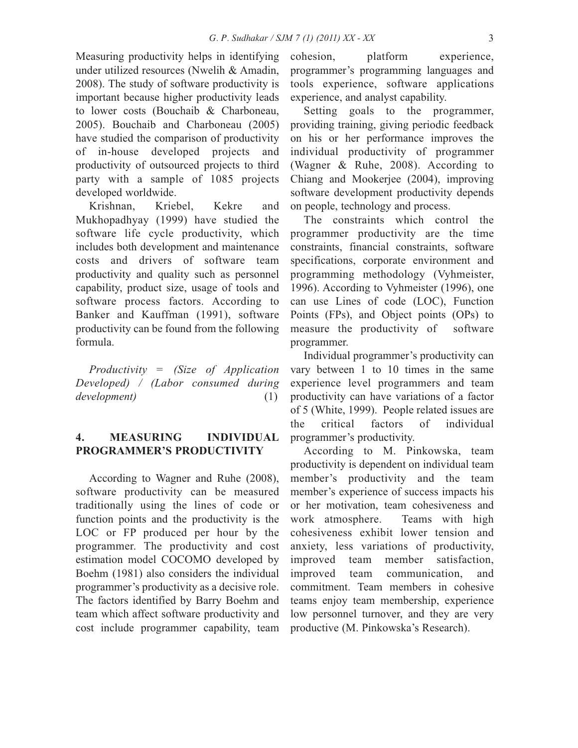Measuring productivity helps in identifying under utilized resources (Nwelih & Amadin, 2008). The study of software productivity is important because higher productivity leads to lower costs (Bouchaib & Charboneau, 2005). Bouchaib and Charboneau (2005) have studied the comparison of productivity of in-house developed projects and productivity of outsourced projects to third party with a sample of 1085 projects developed worldwide.

Krishnan, Kriebel, Kekre and Mukhopadhyay (1999) have studied the software life cycle productivity, which includes both development and maintenance costs and drivers of software team productivity and quality such as personnel capability, product size, usage of tools and software process factors. According to Banker and Kauffman (1991), software productivity can be found from the following formula.

*Productivity = (Size of Application Developed) / (Labor consumed during development)* (1)

# **4. MEASURING INDIVIDUAL PROGRAMMER'S PRODUCTIVITY**

According to Wagner and Ruhe (2008), software productivity can be measured traditionally using the lines of code or function points and the productivity is the LOC or FP produced per hour by the programmer. The productivity and cost estimation model COCOMO developed by Boehm (1981) also considers the individual programmer's productivity as a decisive role. The factors identified by Barry Boehm and team which affect software productivity and cost include programmer capability, team

cohesion, platform experience, programmer's programming languages and tools experience, software applications experience, and analyst capability.

Setting goals to the programmer, providing training, giving periodic feedback on his or her performance improves the individual productivity of programmer (Wagner & Ruhe, 2008). According to Chiang and Mookerjee (2004), improving software development productivity depends on people, technology and process.

The constraints which control the programmer productivity are the time constraints, financial constraints, software specifications, corporate environment and programming methodology (Vyhmeister, 1996). According to Vyhmeister (1996), one can use Lines of code (LOC), Function Points (FPs), and Object points (OPs) to measure the productivity of software programmer.

Individual programmer's productivity can vary between 1 to 10 times in the same experience level programmers and team productivity can have variations of a factor of 5 (White, 1999). People related issues are the critical factors of individual programmer's productivity.

According to M. Pinkowska, team productivity is dependent on individual team member's productivity and the team member's experience of success impacts his or her motivation, team cohesiveness and work atmosphere. Teams with high cohesiveness exhibit lower tension and anxiety, less variations of productivity, improved team member satisfaction, improved team communication, and commitment. Team members in cohesive teams enjoy team membership, experience low personnel turnover, and they are very productive (M. Pinkowska's Research).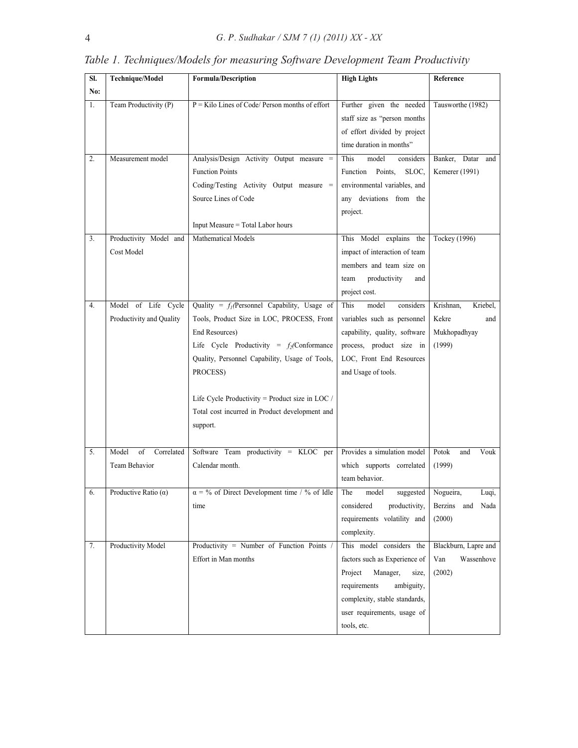| SI. | <b>Technique/Model</b>                          | Formula/Description                                                                                                                                                                                                                                                                                                                            | <b>High Lights</b>                                                                                                                                                                                     | Reference                                                       |
|-----|-------------------------------------------------|------------------------------------------------------------------------------------------------------------------------------------------------------------------------------------------------------------------------------------------------------------------------------------------------------------------------------------------------|--------------------------------------------------------------------------------------------------------------------------------------------------------------------------------------------------------|-----------------------------------------------------------------|
| No: |                                                 |                                                                                                                                                                                                                                                                                                                                                |                                                                                                                                                                                                        |                                                                 |
| 1.  | Team Productivity (P)                           | $P =$ Kilo Lines of Code/ Person months of effort                                                                                                                                                                                                                                                                                              | Further given the needed<br>staff size as "person months<br>of effort divided by project<br>time duration in months"                                                                                   | Tausworthe (1982)                                               |
| 2.  | Measurement model                               | Analysis/Design Activity Output measure =<br><b>Function Points</b><br>Coding/Testing Activity Output measure =<br>Source Lines of Code<br>Input Measure = Total Labor hours                                                                                                                                                                   | This<br>model<br>considers<br>Points,<br>Function<br>SLOC,<br>environmental variables, and<br>any deviations from the<br>project.                                                                      | Banker, Datar and<br>Kemerer (1991)                             |
| 3.  | Productivity Model and<br>Cost Model            | Mathematical Models                                                                                                                                                                                                                                                                                                                            | This Model explains the<br>impact of interaction of team<br>members and team size on<br>productivity<br>team<br>and<br>project cost.                                                                   | Tockey (1996)                                                   |
| 4.  | Model of Life Cycle<br>Productivity and Quality | Quality = $f_l$ (Personnel Capability, Usage of<br>Tools, Product Size in LOC, PROCESS, Front<br>End Resources)<br>Life Cycle Productivity = $f_2$ (Conformance<br>Quality, Personnel Capability, Usage of Tools,<br>PROCESS)<br>Life Cycle Productivity = Product size in LOC /<br>Total cost incurred in Product development and<br>support. | This<br>model<br>considers<br>variables such as personnel<br>capability, quality, software<br>process, product size in<br>LOC, Front End Resources<br>and Usage of tools.                              | Krishnan,<br>Kriebel,<br>Kekre<br>and<br>Mukhopadhyay<br>(1999) |
| 5.  | Model<br>Correlated<br>of<br>Team Behavior      | Software Team productivity = KLOC per<br>Calendar month.                                                                                                                                                                                                                                                                                       | Provides a simulation model<br>which supports correlated<br>team behavior.                                                                                                                             | Potok<br>Vouk<br>and<br>(1999)                                  |
|     | Productive Ratio $(\alpha)$                     | $\alpha = \frac{9}{6}$ of Direct Development time / % of Idle<br>time                                                                                                                                                                                                                                                                          | The<br>suggested Nogueira,<br>model<br>considered<br>productivity,<br>requirements volatility and<br>complexity.                                                                                       | Luqi,<br>Berzins and Nada<br>(2000)                             |
| 7.  | Productivity Model                              | Productivity = Number of Function Points<br>Effort in Man months                                                                                                                                                                                                                                                                               | This model considers the<br>factors such as Experience of<br>Manager,<br>Project<br>size,<br>requirements<br>ambiguity,<br>complexity, stable standards,<br>user requirements, usage of<br>tools, etc. | Blackburn, Lapre and<br>Van<br>Wassenhove<br>(2002)             |

*Table 1. Techniques/Models for measuring Software Development Team Productivity*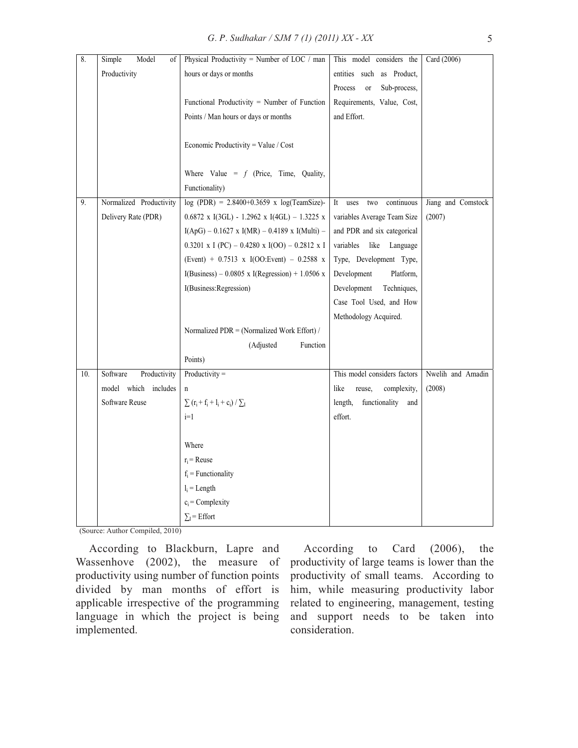| 8.  | Model<br>Simple<br>οf    | Physical Productivity = Number of LOC / man          | This model considers the             | Card (2006)        |
|-----|--------------------------|------------------------------------------------------|--------------------------------------|--------------------|
|     | Productivity             | hours or days or months                              | entities such as Product,            |                    |
|     |                          |                                                      | Sub-process,<br>Process<br><b>or</b> |                    |
|     |                          | Functional Productivity = Number of Function         | Requirements, Value, Cost,           |                    |
|     |                          | Points / Man hours or days or months                 | and Effort.                          |                    |
|     |                          |                                                      |                                      |                    |
|     |                          | Economic Productivity = Value / $Cost$               |                                      |                    |
|     |                          |                                                      |                                      |                    |
|     |                          | Where Value = $f$ (Price, Time, Quality,             |                                      |                    |
|     |                          | Functionality)                                       |                                      |                    |
| 9.  | Normalized Productivity  | $log (PDR) = 2.8400 + 0.3659$ x $log(TeamSize)$ -    | It<br>continuous<br>uses<br>two      | Jiang and Comstock |
|     | Delivery Rate (PDR)      | $0.6872$ x I(3GL) - 1.2962 x I(4GL) - 1.3225 x       | variables Average Team Size          | (2007)             |
|     |                          | $I(ApG) - 0.1627$ x $I(MR) - 0.4189$ x $I(Multi) -$  | and PDR and six categorical          |                    |
|     |                          | $0.3201 \times I$ (PC) – 0.4280 x I(OO) – 0.2812 x I | variables<br>like<br>Language        |                    |
|     |                          | (Event) + $0.7513 \times I(OO)$ : Event) - 0.2588 x  | Type, Development Type,              |                    |
|     |                          | I(Business) – 0.0805 x I(Regression) + 1.0506 x      | Platform,<br>Development             |                    |
|     |                          | I(Business:Regression)                               | Techniques,<br>Development           |                    |
|     |                          |                                                      | Case Tool Used, and How              |                    |
|     |                          |                                                      | Methodology Acquired.                |                    |
|     |                          | Normalized PDR = (Normalized Work Effort) /          |                                      |                    |
|     |                          | (Adjusted<br>Function                                |                                      |                    |
|     |                          | Points)                                              |                                      |                    |
| 10. | Software<br>Productivity | Productivity $=$                                     | This model considers factors         | Nwelih and Amadin  |
|     | model which includes     | $\mathbf n$                                          | like<br>reuse,<br>complexity,        | (2008)             |
|     | Software Reuse           | $\sum (r_i + f_i + l_i + c_i) / \sum I$              | functionality<br>length,<br>and      |                    |
|     |                          | $i=1$                                                | effort.                              |                    |
|     |                          |                                                      |                                      |                    |
|     |                          | Where                                                |                                      |                    |
|     |                          | $r_i$ = Reuse                                        |                                      |                    |
|     |                          | $f_i$ = Functionality                                |                                      |                    |
|     |                          | $l_i$ = Length                                       |                                      |                    |
|     |                          | $c_i$ = Complexity                                   |                                      |                    |
|     |                          | $\Sigma_I$ = Effort                                  |                                      |                    |

(Source: Author Compiled, 2010)

According to Blackburn, Lapre and Wassenhove (2002), the measure of productivity using number of function points divided by man months of effort is applicable irrespective of the programming language in which the project is being implemented.

According to Card (2006), the productivity of large teams is lower than the productivity of small teams. According to him, while measuring productivity labor related to engineering, management, testing and support needs to be taken into consideration.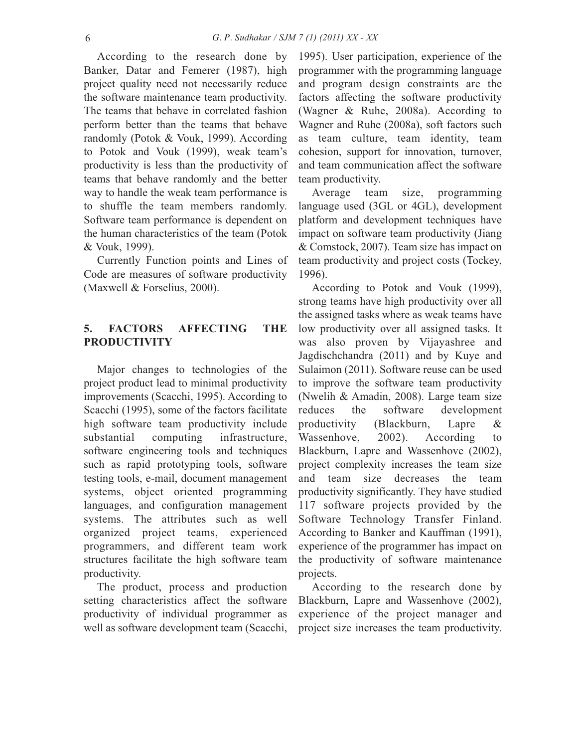According to the research done by Banker, Datar and Femerer (1987), high project quality need not necessarily reduce the software maintenance team productivity. The teams that behave in correlated fashion perform better than the teams that behave randomly (Potok & Vouk, 1999). According to Potok and Vouk (1999), weak team's productivity is less than the productivity of teams that behave randomly and the better way to handle the weak team performance is to shuffle the team members randomly. Software team performance is dependent on the human characteristics of the team (Potok & Vouk, 1999).

Currently Function points and Lines of Code are measures of software productivity (Maxwell & Forselius, 2000).

# **5. FACTORS AFFECTING THE PRODUCTIVITY**

Major changes to technologies of the project product lead to minimal productivity improvements (Scacchi, 1995). According to Scacchi (1995), some of the factors facilitate high software team productivity include substantial computing infrastructure, software engineering tools and techniques such as rapid prototyping tools, software testing tools, e-mail, document management systems, object oriented programming languages, and configuration management systems. The attributes such as well organized project teams, experienced programmers, and different team work structures facilitate the high software team productivity.

The product, process and production setting characteristics affect the software productivity of individual programmer as well as software development team (Scacchi, 1995). User participation, experience of the programmer with the programming language and program design constraints are the factors affecting the software productivity (Wagner & Ruhe, 2008a). According to Wagner and Ruhe (2008a), soft factors such as team culture, team identity, team cohesion, support for innovation, turnover, and team communication affect the software team productivity.

Average team size, programming language used (3GL or 4GL), development platform and development techniques have impact on software team productivity (Jiang & Comstock, 2007). Team size has impact on team productivity and project costs (Tockey, 1996).

According to Potok and Vouk (1999), strong teams have high productivity over all the assigned tasks where as weak teams have low productivity over all assigned tasks. It was also proven by Vijayashree and Jagdischchandra (2011) and by Kuye and Sulaimon (2011). Software reuse can be used to improve the software team productivity (Nwelih & Amadin, 2008). Large team size reduces the software development productivity (Blackburn, Lapre & Wassenhove, 2002). According to Blackburn, Lapre and Wassenhove (2002), project complexity increases the team size and team size decreases the team productivity significantly. They have studied 117 software projects provided by the Software Technology Transfer Finland. According to Banker and Kauffman (1991), experience of the programmer has impact on the productivity of software maintenance projects.

According to the research done by Blackburn, Lapre and Wassenhove (2002), experience of the project manager and project size increases the team productivity.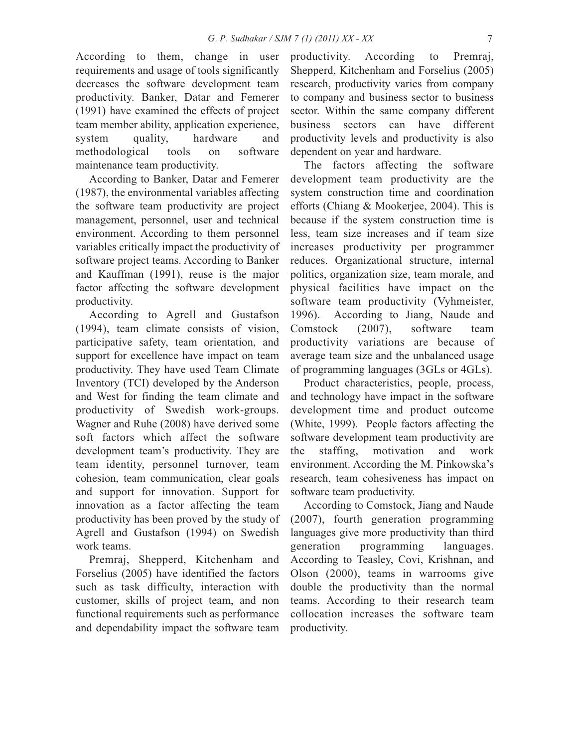According to them, change in user requirements and usage of tools significantly decreases the software development team productivity. Banker, Datar and Femerer (1991) have examined the effects of project team member ability, application experience, system quality, hardware and methodological tools on software maintenance team productivity.

According to Banker, Datar and Femerer (1987), the environmental variables affecting the software team productivity are project management, personnel, user and technical environment. According to them personnel variables critically impact the productivity of software project teams. According to Banker and Kauffman (1991), reuse is the major factor affecting the software development productivity.

According to Agrell and Gustafson (1994), team climate consists of vision, participative safety, team orientation, and support for excellence have impact on team productivity. They have used Team Climate Inventory (TCI) developed by the Anderson and West for finding the team climate and productivity of Swedish work-groups. Wagner and Ruhe (2008) have derived some soft factors which affect the software development team's productivity. They are team identity, personnel turnover, team cohesion, team communication, clear goals and support for innovation. Support for innovation as a factor affecting the team productivity has been proved by the study of Agrell and Gustafson (1994) on Swedish work teams.

Premraj, Shepperd, Kitchenham and Forselius (2005) have identified the factors such as task difficulty, interaction with customer, skills of project team, and non functional requirements such as performance and dependability impact the software team productivity. According to Premraj, Shepperd, Kitchenham and Forselius (2005) research, productivity varies from company to company and business sector to business sector. Within the same company different business sectors can have different productivity levels and productivity is also dependent on year and hardware.

The factors affecting the software development team productivity are the system construction time and coordination efforts (Chiang & Mookerjee, 2004). This is because if the system construction time is less, team size increases and if team size increases productivity per programmer reduces. Organizational structure, internal politics, organization size, team morale, and physical facilities have impact on the software team productivity (Vyhmeister, 1996). According to Jiang, Naude and Comstock (2007), software team productivity variations are because of average team size and the unbalanced usage of programming languages (3GLs or 4GLs).

Product characteristics, people, process, and technology have impact in the software development time and product outcome (White, 1999). People factors affecting the software development team productivity are the staffing, motivation and work environment. According the M. Pinkowska's research, team cohesiveness has impact on software team productivity.

According to Comstock, Jiang and Naude (2007), fourth generation programming languages give more productivity than third generation programming languages. According to Teasley, Covi, Krishnan, and Olson (2000), teams in warrooms give double the productivity than the normal teams. According to their research team collocation increases the software team productivity.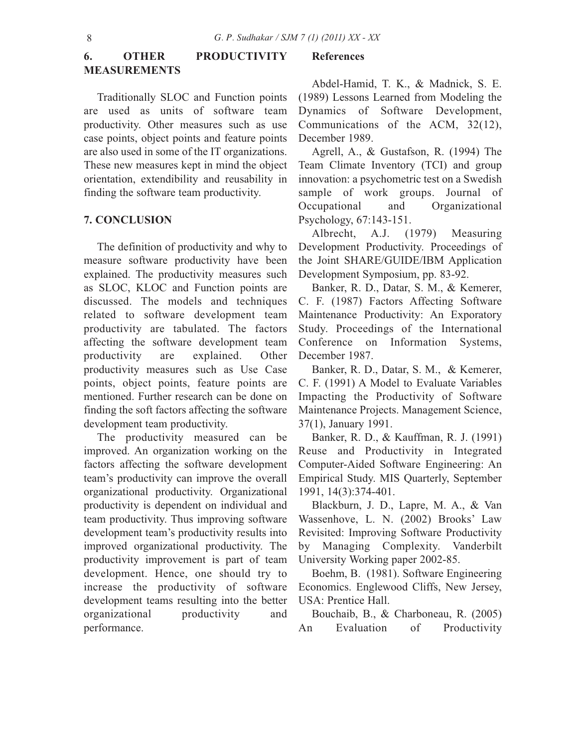# **6. OTHER PRODUCTIVITY MEASUREMENTS**

Traditionally SLOC and Function points are used as units of software team productivity. Other measures such as use case points, object points and feature points are also used in some of the IT organizations. These new measures kept in mind the object orientation, extendibility and reusability in finding the software team productivity.

## **7. CONCLUSION**

The definition of productivity and why to measure software productivity have been explained. The productivity measures such as SLOC, KLOC and Function points are discussed. The models and techniques related to software development team productivity are tabulated. The factors affecting the software development team productivity are explained. Other productivity measures such as Use Case points, object points, feature points are mentioned. Further research can be done on finding the soft factors affecting the software development team productivity.

The productivity measured can be improved. An organization working on the factors affecting the software development team's productivity can improve the overall organizational productivity. Organizational productivity is dependent on individual and team productivity. Thus improving software development team's productivity results into improved organizational productivity. The productivity improvement is part of team development. Hence, one should try to increase the productivity of software development teams resulting into the better organizational productivity and performance.

#### **References**

Abdel-Hamid, T. K., & Madnick, S. E. (1989) Lessons Learned from Modeling the Dynamics of Software Development, Communications of the ACM, 32(12), December 1989.

Agrell, A., & Gustafson, R. (1994) The Team Climate Inventory (TCI) and group innovation: a psychometric test on a Swedish sample of work groups. Journal of Occupational and Organizational Psychology, 67:143-151.

Albrecht, A.J. (1979) Measuring Development Productivity. Proceedings of the Joint SHARE/GUIDE/IBM Application Development Symposium, pp. 83-92.

Banker, R. D., Datar, S. M., & Kemerer, C. F. (1987) Factors Affecting Software Maintenance Productivity: An Exporatory Study. Proceedings of the International Conference on Information Systems, December 1987.

Banker, R. D., Datar, S. M., & Kemerer, C. F. (1991) A Model to Evaluate Variables Impacting the Productivity of Software Maintenance Projects. Management Science, 37(1), January 1991.

Banker, R. D., & Kauffman, R. J. (1991) Reuse and Productivity in Integrated Computer-Aided Software Engineering: An Empirical Study. MIS Quarterly, September 1991, 14(3):374-401.

Blackburn, J. D., Lapre, M. A., & Van Wassenhove, L. N. (2002) Brooks' Law Revisited: Improving Software Productivity by Managing Complexity. Vanderbilt University Working paper 2002-85.

Boehm, B. (1981). Software Engineering Economics. Englewood Cliffs, New Jersey, USA: Prentice Hall.

Bouchaib, B., & Charboneau, R. (2005) An Evaluation of Productivity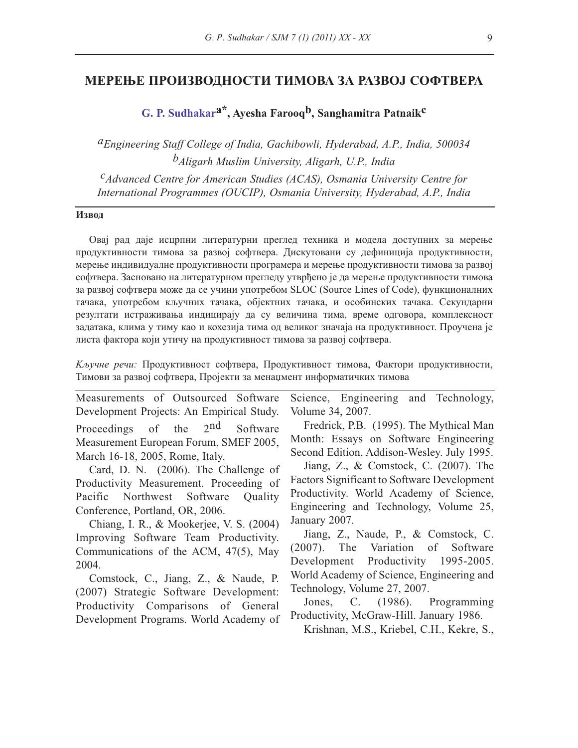#### **МЕРЕЊЕ ПРОИЗВОДНОСТИ ТИМОВА ЗА РАЗВОЈ СОФТВЕРА**

**G. P. Sudhakara\*, Ayesha Farooqb, Sanghamitra Patnaikc**

*aEngineering Staff College of India, Gachibowli, Hyderabad, A.P., India, 500034 bAligarh Muslim University, Aligarh, U.P., India*

*cAdvanced Centre for American Studies (ACAS), Osmania University Centre for International Programmes (OUCIP), Osmania University, Hyderabad, A.P., India*

#### **Извод**

Овај рад даје исцрпни литературни преглед техника и модела доступних за мерење продуктивности тимова за развој софтвера. Дискутовани су дефиниција продуктивности, мерење индивидуалне продуктивности програмера и мерење продуктивности тимова за развој софтвера. Засновано на литературном прегледу утврђено је да мерење продуктивности тимова за развој софтвера може да се учини употребом SLOC (Source Lines of Code), функционалних тачака, употребом кључних тачака, објектних тачака, и особинских тачака. Секундарни резултати истраживања индицирају да су величина тима, време одговора, комплексност задатака, клима у тиму као и кохезија тима од великог значаја на продуктивност. Проучена је листа фактора који утичу на продуктивност тимова за развој софтвера.

*Kључне речи:* Продуктивност софтвера, Продуктивност тимова, Фактори продуктивности, Тимови за развој софтвера, Пројекти за менаџмент информатичких тимова

Measurements of Outsourced Software Development Projects: An Empirical Study. Proceedings of the 2<sup>nd</sup> Software Measurement European Forum, SMEF 2005, March 16-18, 2005, Rome, Italy. Card, D. N. (2006). The Challenge of Productivity Measurement. Proceeding of Pacific Northwest Software Quality Conference, Portland, OR, 2006. Chiang, I. R., & Mookerjee, V. S. (2004) Improving Software Team Productivity. Communications of the ACM, 47(5), May 2004. Science, Engineering and Technology, Volume 34, 2007. Fredrick, P.B. (1995). The Mythical Man Jiang, Z., & Comstock, C. (2007). The January 2007. Jiang, Z., Naude, P., & Comstock, C.

Comstock, C., Jiang, Z., & Naude, P. (2007) Strategic Software Development: Productivity Comparisons of General Development Programs. World Academy of

Month: Essays on Software Engineering Second Edition, Addison-Wesley. July 1995.

Factors Significant to Software Development Productivity. World Academy of Science, Engineering and Technology, Volume 25,

(2007). The Variation of Software Development Productivity 1995-2005. World Academy of Science, Engineering and Technology, Volume 27, 2007.

Jones, C. (1986). Programming Productivity, McGraw-Hill. January 1986.

Krishnan, M.S., Kriebel, C.H., Kekre, S.,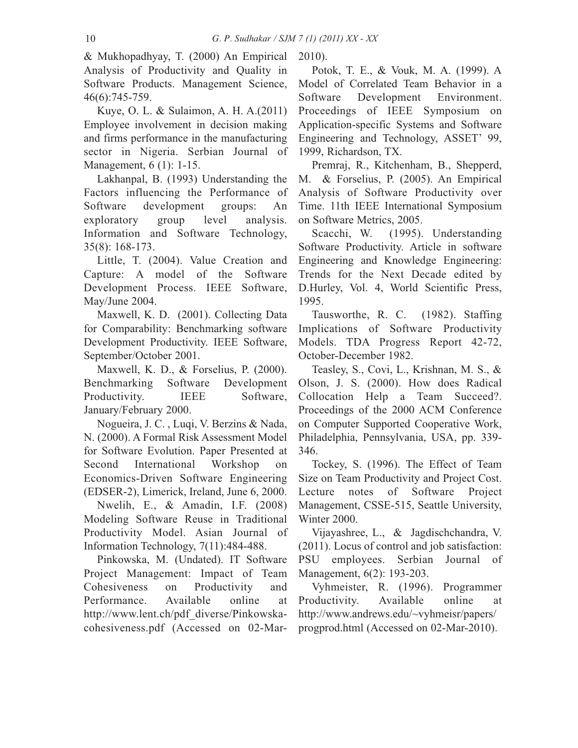& Mukhopadhyay, T. (2000) An Empirical Analysis of Productivity and Quality in Software Products. Management Science, 46(6):745-759.

Kuye, O. L. & Sulaimon, A. H. A.(2011) Employee involvement in decision making and firms performance in the manufacturing sector in Nigeria. Serbian Journal of Management, 6 (1): 1-15.

Lakhanpal, B. (1993) Understanding the Factors influencing the Performance of Software development groups: An exploratory group level analysis. Information and Software Technology, 35(8): 168-173.

Little, T. (2004). Value Creation and Capture: A model of the Software Development Process. IEEE Software, May/June 2004.

Maxwell, K. D. (2001). Collecting Data for Comparability: Benchmarking software Development Productivity. IEEE Software, September/October 2001.

Maxwell, K. D., & Forselius, P. (2000). Benchmarking Software Development Productivity. IEEE Software, January/February 2000.

Nogueira, J. C. , Luqi, V. Berzins & Nada, N. (2000). A Formal Risk Assessment Model for Software Evolution. Paper Presented at Second International Workshop on Economics-Driven Software Engineering (EDSER-2), Limerick, Ireland, June 6, 2000.

Nwelih, E., & Amadin, I.F. (2008) Modeling Software Reuse in Traditional Productivity Model. Asian Journal of Information Technology, 7(11):484-488.

Pinkowska, M. (Undated). IT Software Project Management: Impact of Team Cohesiveness on Productivity and Performance. Available online at http://www.lent.ch/pdf\_diverse/Pinkowskacohesiveness.pdf (Accessed on 02-Mar-

2010).

Potok, T. E., & Vouk, M. A. (1999). A Model of Correlated Team Behavior in a Software Development Environment. Proceedings of IEEE Symposium on Application-specific Systems and Software Engineering and Technology, ASSET' 99, 1999, Richardson, TX.

Premraj, R., Kitchenham, B., Shepperd, M. & Forselius, P. (2005). An Empirical Analysis of Software Productivity over Time. 11th IEEE International Symposium on Software Metrics, 2005.

Scacchi, W. (1995). Understanding Software Productivity. Article in software Engineering and Knowledge Engineering: Trends for the Next Decade edited by D.Hurley, Vol. 4, World Scientific Press, 1995.

Tausworthe, R. C. (1982). Staffing Implications of Software Productivity Models. TDA Progress Report 42-72, October-December 1982.

Teasley, S., Covi, L., Krishnan, M. S., & Olson, J. S. (2000). How does Radical Collocation Help a Team Succeed?. Proceedings of the 2000 ACM Conference on Computer Supported Cooperative Work, Philadelphia, Pennsylvania, USA, pp. 339- 346.

Tockey, S. (1996). The Effect of Team Size on Team Productivity and Project Cost. Lecture notes of Software Project Management, CSSE-515, Seattle University, Winter 2000.

Vijayashree, L., & Jagdischchandra, V. (2011). Locus of control and job satisfaction: PSU employees. Serbian Journal of Management, 6(2): 193-203.

Vyhmeister, R. (1996). Programmer Productivity. Available online at http://www.andrews.edu/~vyhmeisr/papers/ progprod.html (Accessed on 02-Mar-2010).